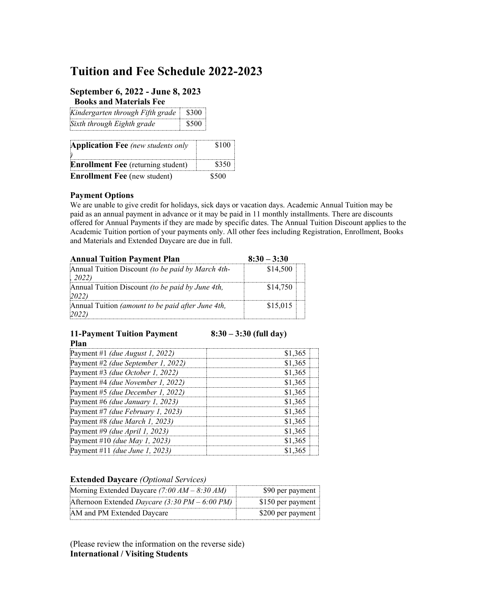# **Tuition and Fee Schedule 2022-2023**

### **September 6, 2022 - June 8, 2023**

 **Books and Materials Fee** 

| Kindergarten through Fifth grade | \$300. |
|----------------------------------|--------|
| Sixth through Eighth grade       | \$500  |

| <b>Application Fee</b> (new students only |       |
|-------------------------------------------|-------|
| <b>Enrollment Fee</b> (returning student) | \$350 |
| <b>Enrollment Fee</b> (new student)       | \$500 |

#### **Payment Options**

We are unable to give credit for holidays, sick days or vacation days. Academic Annual Tuition may be paid as an annual payment in advance or it may be paid in 11 monthly installments. There are discounts offered for Annual Payments if they are made by specific dates. The Annual Tuition Discount applies to the Academic Tuition portion of your payments only. All other fees including Registration, Enrollment, Books and Materials and Extended Daycare are due in full.

| <b>Annual Tuition Payment Plan</b>                         | $8:30 - 3:30$ |
|------------------------------------------------------------|---------------|
| Annual Tuition Discount (to be paid by March 4th-<br>12022 | \$14,500      |
| Annual Tuition Discount (to be paid by June 4th,<br>2022   | \$14,750      |
| Annual Tuition (amount to be paid after June 4th,          | \$15,015      |

#### **11-Payment Tuition Payment Plan**

**8:30 – 3:30 (full day)** 

| Payment #1 (due August 1, 2022)       | \$1,365 |
|---------------------------------------|---------|
| Payment #2 (due September 1, 2022)    | \$1,365 |
| Payment #3 (due October 1, 2022)      | \$1,365 |
| Payment #4 (due November 1, 2022)     | \$1,365 |
| Payment #5 (due December 1, 2022)     | \$1,365 |
| Payment #6 (due January 1, 2023)      | \$1,365 |
| Payment #7 (due February 1, 2023)     | \$1,365 |
| Payment #8 (due March 1, 2023)        | \$1,365 |
| Payment #9 (due April 1, 2023)        | \$1,365 |
| Payment #10 <i>(due May 1, 2023)</i>  | \$1,365 |
| Payment #11 <i>(due June 1, 2023)</i> | \$1 365 |

#### **Extended Daycare** *(Optional Services)*

| Morning Extended Daycare (7:00 $AM - 8:30 AM$ ) | \$90 per payment  |
|-------------------------------------------------|-------------------|
| Afternoon Extended Daycare (3:30 PM – 6:00 PM)  | \$150 per payment |
| AM and PM Extended Daycare                      | \$200 per payment |

(Please review the information on the reverse side) **International / Visiting Students**